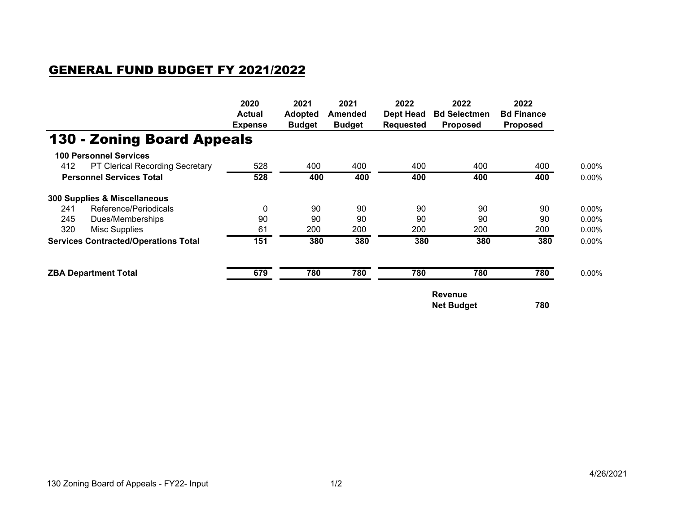## GENERAL FUND BUDGET FY 2021/2022

|                                               | 2020<br><b>Actual</b><br><b>Expense</b> | 2021<br><b>Adopted</b><br><b>Budget</b> | 2021<br>Amended<br><b>Budget</b> | 2022<br><b>Dept Head</b><br><b>Requested</b> | 2022<br><b>Bd Selectmen</b><br><b>Proposed</b> | 2022<br><b>Bd Finance</b><br><b>Proposed</b> |          |
|-----------------------------------------------|-----------------------------------------|-----------------------------------------|----------------------------------|----------------------------------------------|------------------------------------------------|----------------------------------------------|----------|
| <b>130 - Zoning Board Appeals</b>             |                                         |                                         |                                  |                                              |                                                |                                              |          |
| <b>100 Personnel Services</b>                 |                                         |                                         |                                  |                                              |                                                |                                              |          |
| 412<br><b>PT Clerical Recording Secretary</b> | 528                                     | 400                                     | 400                              | 400                                          | 400                                            | 400                                          | $0.00\%$ |
| <b>Personnel Services Total</b>               | 528                                     | 400                                     | 400                              | 400                                          | 400                                            | 400                                          | $0.00\%$ |
| 300 Supplies & Miscellaneous                  |                                         |                                         |                                  |                                              |                                                |                                              |          |
| Reference/Periodicals<br>241                  | $\mathbf{0}$                            | 90                                      | 90                               | 90                                           | 90                                             | 90                                           | $0.00\%$ |
| 245<br>Dues/Memberships                       | 90                                      | 90                                      | 90                               | 90                                           | 90                                             | 90                                           | $0.00\%$ |
| 320<br>Misc Supplies                          | 61                                      | 200                                     | 200                              | 200                                          | 200                                            | 200                                          | $0.00\%$ |
| <b>Services Contracted/Operations Total</b>   | 151                                     | 380                                     | 380                              | 380                                          | 380                                            | 380                                          | $0.00\%$ |
| <b>ZBA Department Total</b>                   | 679                                     | 780                                     | 780                              | 780                                          | 780                                            | 780                                          | $0.00\%$ |
|                                               |                                         |                                         |                                  |                                              | <b>Revenue</b><br>780<br><b>Net Budget</b>     |                                              |          |